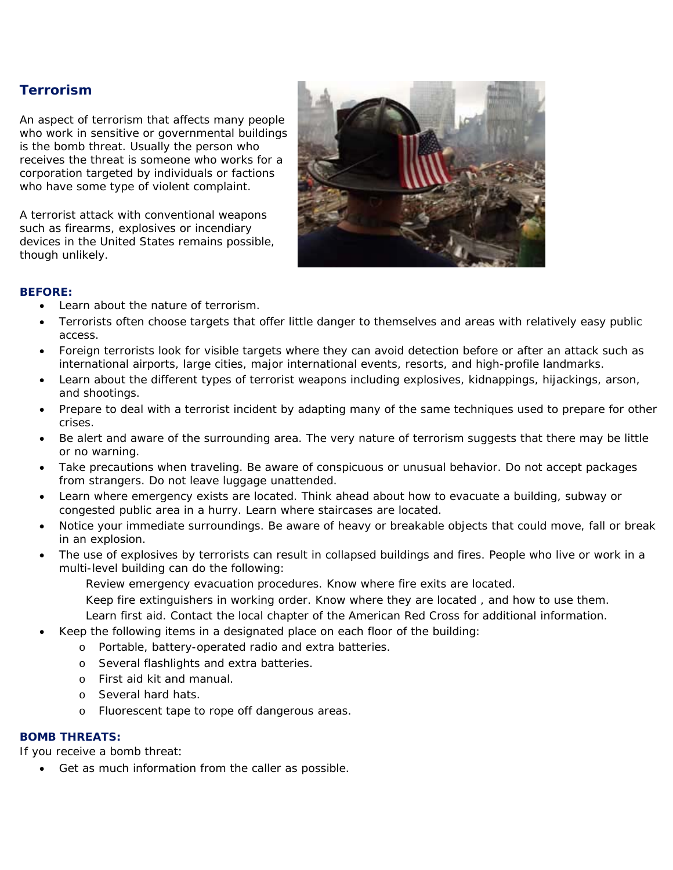# **Terrorism**

An aspect of terrorism that affects many people who work in sensitive or governmental buildings is the bomb threat. Usually the person who receives the threat is someone who works for a corporation targeted by individuals or factions who have some type of violent complaint.

A terrorist attack with conventional weapons such as firearms, explosives or incendiary devices in the United States remains possible, though unlikely.



# **BEFORE:**

- Learn about the nature of terrorism.
- Terrorists often choose targets that offer little danger to themselves and areas with relatively easy public access.
- Foreign terrorists look for visible targets where they can avoid detection before or after an attack such as international airports, large cities, major international events, resorts, and high-profile landmarks.
- Learn about the different types of terrorist weapons including explosives, kidnappings, hijackings, arson, and shootings.
- Prepare to deal with a terrorist incident by adapting many of the same techniques used to prepare for other crises.
- Be alert and aware of the surrounding area. The very nature of terrorism suggests that there may be little or no warning.
- Take precautions when traveling. Be aware of conspicuous or unusual behavior. Do not accept packages from strangers. Do not leave luggage unattended.
- Learn where emergency exists are located. Think ahead about how to evacuate a building, subway or congested public area in a hurry. Learn where staircases are located.
- Notice your immediate surroundings. Be aware of heavy or breakable objects that could move, fall or break in an explosion.
- The use of explosives by terrorists can result in collapsed buildings and fires. People who live or work in a multi-level building can do the following:
	- Review emergency evacuation procedures. Know where fire exits are located.
	- Keep fire extinguishers in working order. Know where they are located , and how to use them.
- Learn first aid. Contact the local chapter of the American Red Cross for additional information.
	- Keep the following items in a designated place on each floor of the building:
		- o Portable, battery-operated radio and extra batteries.
		- o Several flashlights and extra batteries.
		- o First aid kit and manual.
		- o Several hard hats.
		- o Fluorescent tape to rope off dangerous areas.

#### **BOMB THREATS:**

If you receive a bomb threat:

Get as much information from the caller as possible.